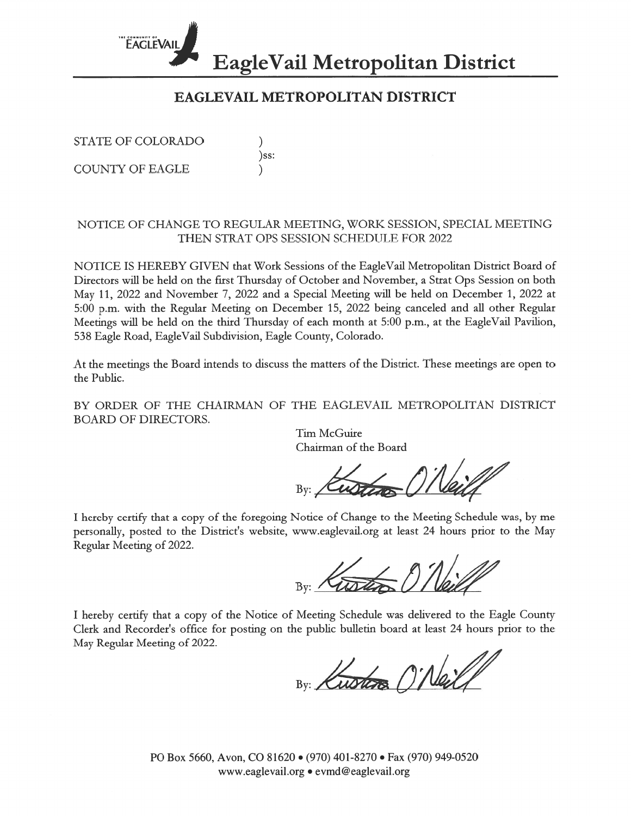

# EAGLEVAIL METROPOLITAN DISTRICT

 $)$ ss:

STATE OF COLORADO

**COUNTY OF EAGLE** 

#### NOTICE OF CHANGE TO REGULAR MEETING, WORK SESSION, SPECIAL MEETING THEN STRAT OPS SESSION SCHEDULE FOR 2022

NOTICE IS HEREBY GIVEN that Work Sessions of the EagleVail Metropolitan District Board of Directors will be held on the first Thursday of October and November, a Strat Ops Session on both May 11, 2022 and November 7, 2022 and a Special Meeting will be held on December 1, 2022 at 5:00 p.m. with the Regular Meeting on December 15, 2022 being canceled and all other Regular Meetings will be held on the third Thursday of each month at 5:00 p.m., at the EagleVail Pavilion, 538 Eagle Road, EagleVail Subdivision, Eagle County, Colorado.

At the meetings the Board intends to discuss the matters of the District. These meetings are open to the Public.

BY ORDER OF THE CHAIRMAN OF THE EAGLEVAIL METROPOLITAN DISTRICT **BOARD OF DIRECTORS.** 

Tim McGuire Chairman of the Board

I hereby certify that a copy of the foregoing Notice of Change to the Meeting Schedule was, by me personally, posted to the District's website, www.eaglevail.org at least 24 hours prior to the May Regular Meeting of 2022.

I hereby certify that a copy of the Notice of Meeting Schedule was delivered to the Eagle County Clerk and Recorder's office for posting on the public bulletin board at least 24 hours prior to the May Regular Meeting of 2022.

By: Kusters O'Neil

PO Box 5660, Avon, CO 81620 · (970) 401-8270 · Fax (970) 949-0520 www.eaglevail.org • evmd@eaglevail.org